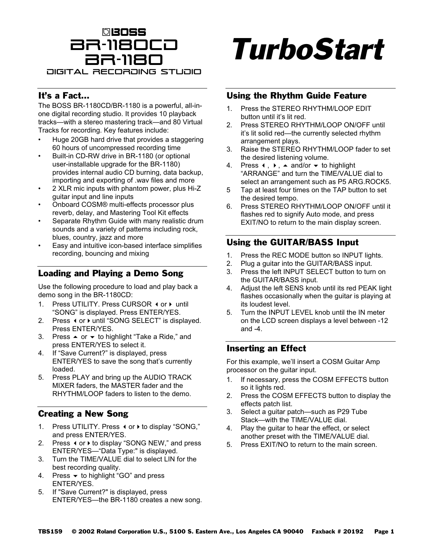## BR-1180CD **beoss** BR-1180 Digital Recording Studio

#### It's a Fact…

The BOSS BR-1180CD/BR-1180 is a powerful, all-inone digital recording studio. It provides 10 playback tracks—with a stereo mastering track—and 80 Virtual Tracks for recording. Key features include:

- Huge 20GB hard drive that provides a staggering 60 hours of uncompressed recording time
- Built-in CD-RW drive in BR-1180 (or optional user-installable upgrade for the BR-1180) provides internal audio CD burning, data backup, importing and exporting of .wav files and more
- 2 XLR mic inputs with phantom power, plus Hi-Z guitar input and line inputs
- Onboard COSM® multi-effects processor plus reverb, delay, and Mastering Tool Kit effects
- Separate Rhythm Guide with many realistic drum sounds and a variety of patterns including rock, blues, country, jazz and more
- Easy and intuitive icon-based interface simplifies recording, bouncing and mixing

#### Loading and Playing a Demo Song

Use the following procedure to load and play back a demo song in the BR-1180CD:

- 1. Press UTILITY. Press CURSOR (or ) until "SONG" is displayed. Press ENTER/YES.
- 2. Press (or ) until "SONG SELECT" is displayed. Press ENTER/YES.
- 3. Press  $\triangle$  or  $\triangledown$  to highlight "Take a Ride," and press ENTER/YES to select it.
- 4. If "Save Current?" is displayed, press ENTER/YES to save the song that's currently loaded.
- 5. Press PLAY and bring up the AUDIO TRACK MIXER faders, the MASTER fader and the RHYTHM/LOOP faders to listen to the demo.

#### Creating a New Song

- 1. Press UTILITY. Press (or  $\blacktriangleright$  to display "SONG," and press ENTER/YES.
- 2. Press ◀ or ▶ to display "SONG NEW," and press ENTER/YES—"Data Type:" is displayed.
- 3. Turn the TIME/VALUE dial to select LIN for the best recording quality.
- 4. Press  $\bullet$  to highlight "GO" and press ENTER/YES.
- 5. If "Save Current?" is displayed, press ENTER/YES—the BR-1180 creates a new song.

# TurboStart

#### Using the Rhythm Guide Feature

- 1. Press the STEREO RHYTHM/LOOP EDIT button until it's lit red.
- 2. Press STEREO RHYTHM/LOOP ON/OFF until it's lit solid red—the currently selected rhythm arrangement plays.
- 3. Raise the STEREO RHYTHM/LOOP fader to set the desired listening volume.
- 4. Press (, ), 
A and/or  $\blacktriangledown$  to highlight "ARRANGE" and turn the TIME/VALUE dial to select an arrangement such as P5 ARG.ROCK5.
- 5 Tap at least four times on the TAP button to set the desired tempo.
- 6. Press STEREO RHYTHM/LOOP ON/OFF until it flashes red to signify Auto mode, and press EXIT/NO to return to the main display screen.

### Using the GUITAR/BASS Input

- 1. Press the REC MODE button so INPUT lights.
- 2. Plug a guitar into the GUITAR/BASS input.
- 3. Press the left INPUT SELECT button to turn on the GUITAR/BASS input.
- 4. Adjust the left SENS knob until its red PEAK light flashes occasionally when the guitar is playing at its loudest level.
- 5. Turn the INPUT LEVEL knob until the IN meter on the LCD screen displays a level between -12 and -4.

#### Inserting an Effect

For this example, we'll insert a COSM Guitar Amp processor on the guitar input.

- 1. If necessary, press the COSM EFFECTS button so it lights red.
- 2. Press the COSM EFFECTS button to display the effects patch list.
- 3. Select a guitar patch—such as P29 Tube Stack—with the TIME/VALUE dial.
- 4. Play the guitar to hear the effect, or select another preset with the TIME/VALUE dial.
- 5. Press EXIT/NO to return to the main screen.